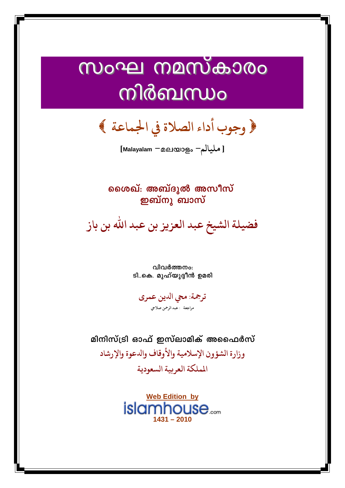## സംഘ നമസ്കാരം  $\ddot{\phantom{a}}$ i<br>I നിർബന്ധം

**وجوب أداء الصلاة يف اجلماعة** 

**[Malayalam -**മലയാളം **-مليالم[**

കൈപ് **അബ്ദുൽ അസീസ് ഇബ്**നു ബാസ്

**فضيلةالشيخ عبد العزيز بن عبد االله بن باز** 

വിവർത്തനം: <u>ടി..കെ. മൂഹ്യൂദ്ദീൻ ഉമരി</u>

**ترمجة: مŸ اȅين عمرى مراجعة : عبد الرمحن صلاű**

മിനിസ്ട്രി ഓഫ് ഇസ്ലാമിക് അഫൈർസ് **وزارة الشؤون الإسلامية والأوقاف واȅعوة والإرشاد اململكةالعربيةالسعودية** 

> **Web Edition by islamhouse**.....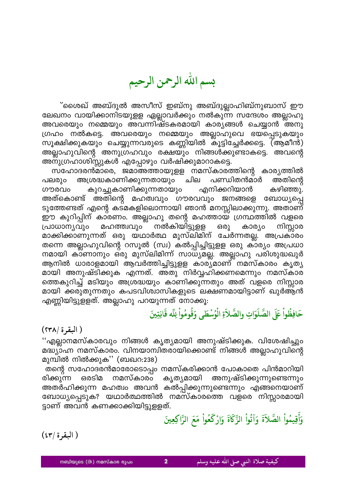بسم الله الرحمن الرحيم

്ശൈഖ് അബ്ദുൽ അസീസ് ഇബ്നു അബ്ദുല്ലാഹിബ്നുബാസ് ഈ ലേഖനം വായിക്കാനിടയുളള ഏല്ലാവർക്കും നൽകുന്ന സന്ദേശം അല്ലാഹു അവരെയും നമ്മെയും അവന്നിഷ്ടകരമായി കാര്യങ്ങൾ ചെയ്യാൻ അനു ഗ്രഹം നൽകട്ടെ. അവരെയും നമ്മെയും അല്ലാഹുവെ ഭയപ്പെടുകയും സൂക്ഷിക്കുകയും ചെയ്യുന്നവരുടെ കണ്ണിയിൽ കൂട്ടിച്ചേർക്കട്ടെ. (ആമീൻ) അല്ലാഹുവിന്റെ അനുഗ്രഹവും രക്ഷയും നിങ്ങൾക്കുണ്ടാകട്ടെ. അവന്റെ അനുഗ്രഹാശിസ്സുകൾ എപ്പോഴും വർഷിക്കുമാറാകട്ടെ.

സഹോദരൻമാരെ, ജമാഅത്തായുളള നമസ്കാരത്തിന്റെ കാര്യത്തിൽ പലരും അശ്രദ്ധകാണിക്കുന്നതായും ചില പണ്ഡിതൻമാർ അതിന്റെ കുറച്ചുകാണിക്കുന്നതായും എനിക്കറിയാൻ കഴിഞ്ഞു. ഗൗരവം അത്കൊണ്ട് അതിന്റെ മഹത്വവും ഗൗരവവും ജനങ്ങളെ ബോധ്യപ്പെ ടുത്തേണ്ടത് എന്റെ കട്മകളിലൊന്നായി ഞാൻ മനസ്സിലാക്കുന്നു. അതാണ് ഈ കുറിപ്പിന് കാരണം. അല്ലാഹു തന്റെ മഹത്തായ ഗ്രന്ഥത്തിൽ വളരെ നിസ്സാര മഹത്ത്വവും നൽകിയിട്ടുളള കാര്യം പ്രാധാന്യവും ഒരു മാക്കിക്കാണുന്നത് ഒരു യഥാർത്ഥ മുസ്ലിമിന് ചേർന്നതല്ല. അപ്രകാരം തന്നെ അല്ലാഹുവിന്റെ റസൂൽ (സ്വ) കൽപ്പിച്ചിട്ടുളള ഒരു കാര്യം അപ്രധാ നമായി കാണാനും ഒരു മുസ്ലിമിന്ന് സാധ്യമല്ല. അല്ലാഹു പരിശുദ്ധഖുർ ആനിൽ ധാരാളമായി ആവർത്തിച്ചിട്ടുളള കാര്യമാണ് നമസ്കാരം കൃത്യ മായി അനുഷ്ടിക്കുക എന്നത്. അതു നിർവ്വഹിക്കണമെന്നും നമസ്കാര ത്തെകുറിച്ച് മടിയും അശ്രദ്ധയും കാണിക്കുന്നതും അത് വളരെ നിസ്സാര മായി ക്കരുതുന്നതും കപടവിശ്വാസികളുടെ ലക്ഷണമായിട്ടാണ് ഖുർആ്ൻ എണ്ണിയിട്ടുളളത്. അല്ലാഹു പറയുന്നത് നോക്കൂ.

## حَافِظُواْ عَلَى الصَّلَوَاتِ والصَّلاَةِ الْوُسْطَى وَقُومُواْ لِلّه قَانِتِينَ

( البقرة /٢٣٨)

''എല്ലാനമസ്കാരവും നിങ്ങൾ കൃത്യമായി അനുഷ്ടിക്കുക. വിശേഷിച്ചും മദ്ധ്യാഹ്ന നമസ്കാരം. വിനയാന്വിതരായിക്കൊണ്ട് നിങ്ങൾ അല്ലാഹുവിന്റെ മുമ്പിൽ നിൽക്കുക'' (ബഖറ:238)

തന്റെ സഹോദരൻമാരോടൊപ്പം നമസ്കരിക്കാൻ പോകാതെ പിൻമാറിയി അനുഷ്ടിക്കുന്നുണ്ടെന്നും രിക്കുന്ന നമസ്കാരം കൃത്യമായി ഒരടിമ അതർഹിക്കുന്ന മഹത്വം അവൻ കൽപ്പിക്കുന്നുണ്ടെന്നും എങ്ങനെയാണ് ബോധ്യപ്പെടുക? യഥാർത്ഥത്തിൽ നമസ്കാരത്തെ വളരെ നിസ്സാരമായി ട്ടാണ് അവൻ കണക്കാക്കിയിട്ടുളളത്.

وَأَقِيمُواْ الصَّلاَةَ وَآتُواْ الزَّكَاةَ وَارْكَعُواْ مَعَ الزَّاكِعِينَ

 $(57/3)$ البقرة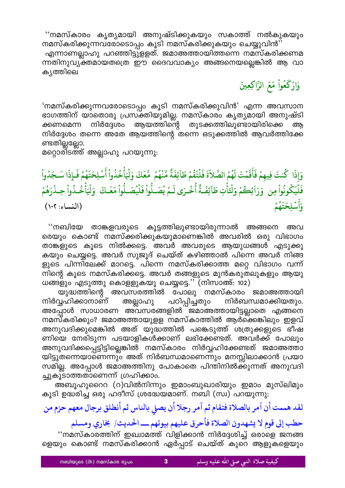''നമസ്കാരം കൃത്യമായി അനുഷ്ടിക്കുകയും സകാത്ത് നൽകുകയും

നമസ്കരിക്കുന്നവരോടൊപ്പം കൂടി നമസ്കരിക്കുകയും ചെയ്യുവിൻ'' എന്നാണല്ലാഹു പറഞ്ഞിട്ടുളളത്. ജമാഅത്തായിത്തന്നെ നമസ്കരിക്കണമ ന്നതിനുവ്യക്തമായതത്രെ ഈ ദൈവവാക്യം അങ്ങനെയല്ലെങ്കിൽ ആ വാ കൃത്തിലെ

# وَارْكَعُواْ مَعَ الرَّاكِعِينَ

'നമസ്കരിക്കുന്നവരോടൊപ്പം കൂടി നമസ്കരിക്കുവിൻ' എന്ന അവസാന ഭാഗത്തിന് യാതൊരു പ്രസക്തിയുമില്ല. നമസ്കാരം കൃത്യമായി അനുഷ്ടി തുടക്കത്തിലുണ്ടായിരിക്കെ ക്കണമെന്ന നിർദ്ദേശം ആയത്തിന്റെ അ നിർദ്ദേശം തന്നെ അതേ ആയത്തിന്റെ തന്നെ ഒടുക്കത്തിൽ ആവർത്തിക്കേ ണ്ടതില്ലല്ലോ.

മറ്റൊരിടത്ത് അല്ലാഹു പറയുന്നു:

## وَإِذَا كُنتَ فِيهِمْ فَأَقَمْتَ لَهُمُ الصَّلاَةَ فَلْتَقُمْ طَآئِفَةٌ مِّنْهُمْ ۖ مَّعَكَ وَلْيَأْخُذُواْ أَسْلِحَتَهُمْ فَإِذَا سَجَدُواْ فَلَيَكُونُواْ مِن ۚ وَرَآئِكُمْ وَلْتَأْتِ طَآئِفَـةً أُخْـرَى لَـمْ يُصَـلُّواْ فَلْيُصَـلُّواْ مَعَـكَ ۚ وَلْيَأْخُـذُواْ حِـذْرَهُمْ وَأَسْلِحَتَهُمْ (النساء: ١٠٢)

''നബിയേ താങ്കളവരുടെ കൂട്ടത്തിലുണ്ടായിരുന്നാൽ അങ്ങനെ അവ രെയും കൊണ്ട് നമസ്ക്കരിക്കുകയുമാണെങ്കിൽ അവരിൽ ഒരു വിഭാഗം താങ്കളുടെ കൂടെ നിൽക്കട്ടെ. അവർ അവരുടെ ആയുധങ്ങൾ എടുക്കു കയും ചെയ്യട്ടെ. അവർ സുജൂദ് ചെയ്ത് കഴിഞ്ഞാൽ പിന്നെ അവർ നിങ്ങ ളുടെ പിന്നിലേക്ക് മാറട്ടെ. പിന്നെ നമസ്കരിക്കാത്ത മറ്റെ വിഭാഗം വന്ന് നിന്റെ കൂടെ നമസ്കരിക്കട്ടെ. അവർ തങ്ങളുടെ മുൻകരുതലുകളും ആയു ധങ്ങളും എടുത്തു കൊളളുകയു ചെയ്യട്ടെ.'' (നിസാഅ്: 102)

യുദ്ധത്തിന്റെ അവസരത്തിൽ പോലു നമസ്കാരം ജമാഅത്തായി പഠിപ്പിച്ചതും നിർവ്വഹിക്കാനാണ് നിർബന്ധമാക്കിയതും. അല്ലാഹു അപ്പോൾ സാധാരണ അവസരങ്ങളിൽ ജമാഅത്തായിട്ടല്ലാതെ എങ്ങനെ നമസ്കരിക്കും? ജമാഅത്തായുളള നമസ്കാത്തിൽ ആർക്കെങ്കിലും ഇളവ് അനുവദിക്കുമെങ്കിൽ അത് യുദ്ധത്തിൽ പങ്കെടുത്ത് ശത്രുക്കളുടെ ഭീഷ ണിയെ നേരിടുന്ന പടയാളികൾക്കാണ് ലഭിക്കേണ്ടത്. അവർക്ക് പോലും അനുവദിക്കപ്പെട്ടിട്ടില്ലെങ്കിൽ നമസ്കാരം നിർവ്വഹിക്കേണ്ടത് ജമാഅത്താ യിട്ടുതന്നെയാണെന്നും അത് നിർബന്ധമാണെന്നും മനസ്സിലാക്കാൻ പ്രയാ സമില്ല. അപ്പോൾ ജമാഅത്തിനു പോകാതെ പിന്തിനിൽക്കുന്നത് അനുവദി ച്ചുകൂടാത്തതാണെന്ന് ഗ്രഹിക്കാം.

അബൂഹുറൈെ (റ)വിൽനിന്നും ഇമാംബുഖാരിയും ഇമാം മുസ്ലിമും കൂടി ഉദ്ധരിച്ച ഒരു ഹദീസ് ശ്രദ്ധേയമാണ്. നബി (സ്വ) പറയുന്നു:

## لقد هممت أن آمر بالصلاة فتقام ثم آمر رجلا أن يصلي بالناس ثم أنطلق برجال معهم حزم من

حطب إلى قوم لا يشهدون الصلاة فأحرق عليهم بيوتهم ـــ الحديث/ بخاري ومسلم

''നമസ്കാരത്തിന് ഇഖ്വാമത്ത് വിളിക്കാൻ നിർദ്ദേശിച്ച് ഒരാളെ ജനങ്ങ ളെയും കൊണ്ട് നമസ്കരിക്കാൻ ഏർപ്പാട് ചെയ്ത് കുറെ ആളുകളെയും

 $\overline{3}$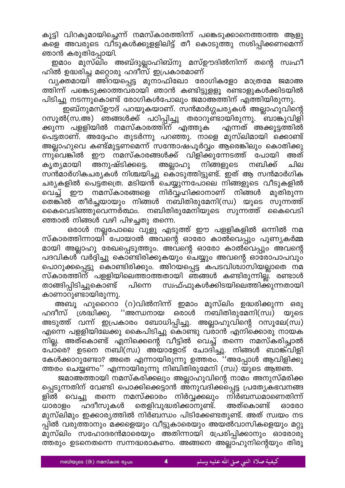കൂട്ടി വിറകുമായിച്ചെന്ന് നമസ്കാരത്തിന്ന് പങ്കെടുക്കാനെത്താത്ത ആളു കളെ അവരുടെ വീടുകൾക്കുളളിലിട്ട് തീ കൊടുത്തു നശിപ്പിക്കണമെന്ന് ഞാൻ കരുതിപ്പോയി.

ഇമാം മുസ്ലിം അബ്ദുല്ലാഹിബ്നു മസ്ഊദിൽനിന്ന് തന്റെ സ്വഹീ ഹിൽ ഉദ്ധരിച്ച മറ്റൊരു ഹദീസ് ഇപ്രകാരമാണ്

വ്യക്തമായി അിറയപ്പെട്ട മുനാഫിഖോ രോഗികളോ മാത്രമേ ജമാഅ ത്തിന്ന് പങ്കെടുക്കാത്തവരായി ഞാൻ കണ്ടിട്ടുളളൂ രണ്ടാളുകൾക്കിടയിൽ പിടിച്ചു നടന്നുകൊണ്ട് രോഗികൾപോലും ജമാഅത്തിന് എത്തിയിരുന്നു.

ഇബ്നുമസ്ഊദ് പറയുകയാണ്. സൻമാർഗ്ഗചര്യകൾ അല്ലാഹുവിന്റെ റസൂൽ(സ.അ) ഞങ്ങൾക്ക് പഠിപ്പിച്ചു തരാറുണ്ടായിരുന്നു. ബാങ്കുവിളി ക്കുന്ന പളളിയിൽ നമസ്കാരത്തിന് എത്തുക എന്നത് അക്കൂട്ടത്തിൽ പെട്ടതാണ്. അദ്ദേഹം തുടർന്നു പറഞ്ഞു. നാളെ മുസ്ലിമായി ക്കൊണ്ട് അല്ലാഹുവെ കണ്ട്മുട്ടണമെന്ന് സന്തോഷപൂർവ്വം ആരെങ്കിലും കൊതിക്കു ഈ നമസ്കാരങ്ങൾക്ക് വിളിക്കുന്നേടത്ത് പോയി അത് ന്നുവെങ്കിൽ അല്ലാഹു നിങ്ങളുടെ നബിക്ക് കൃത്യമായി അനുഷ്ടിക്കട്ടെ. ചില സൻമാർഗികചര്യകൾ നിശ്ചയിച്ചു കൊടുത്തിട്ടുണ്ട്. ഇത് ആ സൻമാർഗിക ചര്യകളിൽ പെട്ടതത്രെ. മടിയൻ ചെയ്യുന്നപോലെ നിങ്ങളുടെ വീടുകളിൽ നമസ്കാരങ്ങളെ നിർവ്വഹിക്കാനാണ് നിങ്ങൾ വെച്ച് ഈ മുതിരുന്ന തെങ്കിൽ തീർച്ചയായും നിങ്ങൾ നബിതിരുമേനി(സ്വ) യുടെ സുന്നത്ത് കൈവെടിഞ്ഞുവെന്നർത്ഥം. നബിതിരുമേനിയുടെ സുന്നത്ത് കൈവെടി ഞ്ഞാൽ നിങ്ങൾ വഴി പിഴച്ചതു തന്നെ.

ഒരാൾ നല്ലപോലെ വുളു എടുത്ത് ഈ പളളികളിൽ ഒന്നിൽ നമ സ്കാരത്തിന്നായി പോയാൽ അവന്റെ ഓരോ കാൽവെപ്പും പുണ്യകർമ്മ മായി അല്ലാഹു രേഖപ്പെടുത്തും. അവന്റെ ഓരോ കാൽവെപ്പും അവന്റെ പദവികൾ വർദ്ദിച്ചു കൊണ്ടിരിക്കുകയും ചെയ്യും അവന്റെ ഓരോപാപവും പൊറുക്കപ്പെട്ടു കൊണ്ടിരിക്കും. അിറയപ്പെട്ട കപടവിശ്വാസിയല്ലാതെ നമ സ്കാരത്തിന് പളളിയിലെത്താത്തതായി ഞങ്ങൾ കണ്ടിരുന്നില്ല. രണ്ടാൾ താങ്ങിപ്പിടിച്ചുകൊണ്ട് സ്വഫ്ഫുകൾക്കിടയിലെത്തിക്കുന്നതായി പിന്നെ കാണാറുണ്ടായിരുന്നു.

അബൂ ഹുറൈറാ (റ)വിൽനിന്ന് ഇമാം മുസ്ലിം ഉദ്ധരിക്കുന്ന ഒരു ''അന്ധനായ ഒരാൾ നബിതിരുമേനി(സ്വ) യുടെ ഹദീസ് ശ്രദ്ധിക്കു. അടുത്ത് വന്ന് ഇപ്രകാരം ബോധിപ്പിച്ചു. അല്ലാഹുവിന്റെ റസൂലേ(സ്വ) എന്നെ പളളിയിലേക്കു കൈപിടിച്ചു കൊണ്ടു വരാൻ എനിക്കൊരു നായക നില്ല. അത്കൊണ്ട് എനിക്കെന്റെ വീട്ടിൽ വെച്ച് തന്നെ നമസ്കരിച്ചാൽ പോരെ? ഉടനെ നബി(സ്വ) അയാളോട് ചോദിച്ചു. നിങ്ങൾ ബാങ്ക്വിളി കേൾക്കാറുണ്ടോ? അതെ എന്നായിരുന്നു ഉത്തരം. ''അപ്പോൾ ആവിളിക്കു ത്തരം ചെയ്യണം'' എന്നായിരുന്നു നിബിതിരുമേനി (സ്വ) യുടെ ആജ്ഞ.

ജമാഅത്തായി നമസ്കരിക്കലും അല്ലാഹുവിന്റെ നാമം അനുസ്മരിക്ക പ്പെടുന്നതിന് വേണ്ടി പൊക്കിക്കെട്ടാൻ അനുവദിക്കപ്പെട്ട പ്രത്യേകഭവനങ്ങ ളിൽ വെച്ചു തന്നെ നമസ്ക്കാരം നിർവ്വക്കലും നിർബന്ധമാണെതിന്ന് ധാരാളം ഹദീസുകൾ തെളിവുദ്ധരിക്കാനുണ്ട്. അത്കൊണ്ട് ഓരോ മുസ്ലിമും ഇക്കാര്യത്തിൽ നിർബന്ധം പിടിക്കേണ്ടതുണ്ട്. അത് സ്വയം നട പ്പിൽ വരുത്താനും മക്കളെയും വീട്ടുകാരെയും അയൽവാസികളെയും മറ്റു മുസ്ലിം സഹോദരൻമാരെയും അതിന്നായി പ്രേരിപ്പിക്കാനും ഓരോരു ത്തരും ഉടനെതന്നെ സന്നദ്ധരാകണം. അങ്ങനെ അല്ലാഹുനിന്റെയും തിരു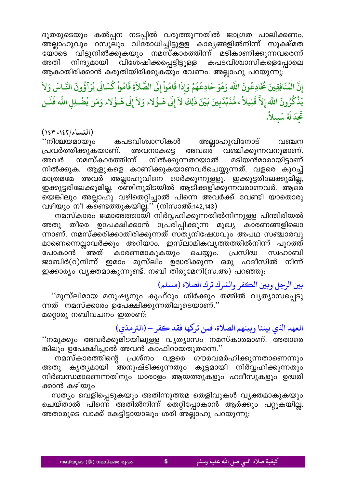ദൂതരുടെയും കൽപ്പന നടപ്പിൽ വരുത്തുന്നതിൽ ജാഗ്രത പാലിക്കണം. അല്ലാഹുവും റസൂലും വിരോധിച്ചിട്ടുളള കാര്യങ്ങളിൽനിന്ന് സൂക്ഷ്മത യോടെ വിട്ടുനിൽക്കുകയും നമസ്കാരത്തിന്ന് മടികാണിക്കുന്നവരെന്ന്<br>അതി നിന്ദ്യമായി വിശേഷിക്കപ്പെട്ടിട്ടുളള കപടവിശ്വാസികളെപ്പോലെ അതി നിന്ദ്യമായി വിശേഷിക്കപ്പെട്ടിട്ടുളള കപടവിശ്വാസികളെപ്പോലെ ആകാതിരിക്കാൻ കരുതിയിരിക്കുകയും വേണം. അല്ലാഹു പറയുന്നു:

**َ ُ**ادِعُونَ اللَّه وَهُوَ خَادِعُهُمْ وَإِذَا قَامُواْ إِلَى الصَّلاَةِ قَامُواْ كُسَالَى يُرَآؤُونَ **ُ ََُ ْ َ َ ََّْ َ َ إ َ ُْ ُ َُ َّ َِ َُ َ**إِنَّ الْمُنَافِقِينَ يُخَادِعُونَ اللَّه وَهُوَ خَادِعُهُمْ وَإِذَا قَامُواْ إِلَى الصَّلاَةِ قَامُواْ كُسَالَى يُرَآؤُونَ النَّـاسَ وَلاَ<br>رَبْعُهُ حَمَاتَ الذَّ تَا إِذْ كُنْتُ رَبِّتَ وَيَجْلِكَ إِذَا قَامُواْ إِلَى ال **ُ َََّ**يَذْكُرُونَ اللَّه إِلاَّ قَلِيلاً ، مُّذَبْذَبِينَ بَيْنَ ذَلِكَ لاَ إِلَى هَـؤُلاء وَلاَ إِلَى هَـؤُلاء وَمَن يُضْـلِلِ اللَّه فَلَـن **َ َّ ََُّ ََ ََُّْ ََ ََ ََ And the contract of the contract of the contract of the contract of the contract of the contract of the contract of the contract of the contract of the contract of the contract of the contract of the contract of the contr َ** إلا قلِيلا ، مّ<br>| ۔<br>تَجِدَ لَهُ سَبِيلاً. **َ َُ**

#### **(النساء،١٤٢/ ١٤٣ )**

''നിശ്ചയമായും കപടവിശ്വാസികൾ അല്ലാഹുവിനോട് വഞ്ചന<br>പ്രവർത്തിക്കുകയാണ്. അവനാകടെ അവരെ വഞ്ചിക്കുന്നവനുമാണ്. @രവനാകട്ടെ അവരെ വഞ്ചിക്കുന്നവനുമാണ്. അവർ നമസ്കാരത്തിന്ന് നിൽക്കുന്നതായാൽ മടിയൻമാരായിട്ടാണ് നിൽക്കുക. ആളുകളെ കാണിക്കുകയാണവർചെയ്യുന്നത്. വളരെ കുറച്ച് മാത്രമമേ അവർ അല്ലാഹുവിനെ ഓർക്കുന്നുളളൂ. ഇക്കൂട്ടരിലേക്കുമില്ല, ഇക്കൂട്ടരിലേക്കുമില്ല. ര്ണ്ടിനുമിടയിൽ ആടിക്കളിക്കുന്നവരാണവർ. ആരെ യെങ്കിലും അല്ലാഹ്ു വഴിതെറ്റിച്ചാൽ പിന്നെ അവർക്ക് വേണ്ടി യാതൊരു വഴിയും നീ കണ്ടെത്തുകയില്ല. $\widetilde{C}$  (നിസാഅ്:142,143)

നമസ്കാരം ജമാഅത്തായി നിർവ്വഹിക്കുന്നതിൽനിന്നുളള പിന്തിരിയൽ അതു തീരെ ഉപേക്ഷിക്കാൻ പ്രേരിപ്പിക്കുന്ന മുഖ്യ കാരണങ്ങളിലൊ ന്നാണ്. നമസ്ക്കരിക്കാതിരിക്കുന്നത് സ്ത്യനിഷേധവും അപഥ സഞ്ചാരവു മാണെന്നെല്ലാവർക്കും അറിയാം. ഇസ്ലാമികവൃത്തത്തിൽനിന്ന് പുറത്ത് പോകാൻ അത് കാരണമാകുകയും ചെയ്യും. പ്രസിദ്ധ സ്വഹാബി ജാബിർ(റ)നിന്ന് ഇമാം മുസ്ലിം ഉദ്ധരിക്കുന്ന ഒരു ഹദീസിൽ നിന്ന് ഇക്കാര്യം വ്യക്തമാകുന്നുണ്ട്. നബി തിരുമേനി(സ.അ) പറഞ്ഞു:

### **بني الرجل وبني الكفر والرشك ترك الصلاة (مسلم )**

"മുസ്ലിമായ മനുഷ്യനും കുഫ്റും ശിർക്കും തമ്മിൽ വൃത്യാസപ്പെടു ന്നത് നമസ്ക്കാരം ഉപേക്ഷിക്കുന്നതിലൂടെയാണ്.'' മറ്റൊരു നബിവചനം ഇതാണ്:

### **العهد اȆي بيننا وبينهم الصلاة، فمن تركها فقد كفر – (الرتمذي )**

"നമുക്കും അവർക്കുമിടയിലുളള വ്യത്യാസം നമസ്കാരമാണ്. അതാരെ ങ്കിലും ഉപേക്ഷിച്ചാൽ അവൻ കാഫിറായതുതന്നെ.''

നമസ്കാരത്തിന്റെ പ്രശ്നം വളരെ ഗൗരവമർഹിക്കുന്നതാണെന്നും അതു കൃത്യമായി അനുഷ്ടിക്കുന്നതും കൂട്ടമായി നിർവ്വഹിക്കുന്നതും നിർബന്ധമാണെന്നതിനും ധാരാളം ആയത്തുകളും ഹദീസുകളും ഉദ്ധരി ക്കാൻ കഴിയും

സത്യം വെളിപ്പെടുകയും അതിന്നുത്തമ തെളിവുകൾ വ്യക്തമാകുകയും ചെയ്താൽ പിന്നെ അതിൽനിന്ന് തെറ്റിപ്പോകാൻ ആർക്കും പറ്റുകയില്ല. അതാരുടെ വാക്ക് കേട്ടിട്ടായാലും ശരി അല്ലാഹു പറയുന്നു: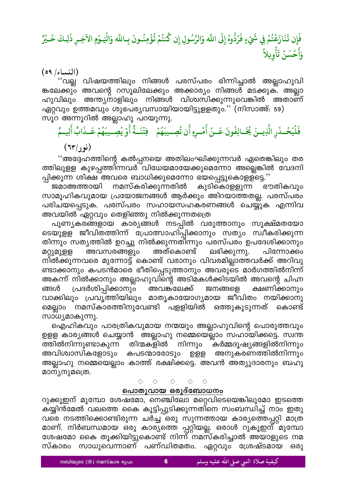# فَإِن تَنَازَعْتُمْ فِي شَيْءٍ فَرُدُّوهُ إِلَى اللّه وَالرَّسُولِ إِن كُنتُمْ تُؤْمِنُـونَ بِـاللّه وَالْيَـوْمِ الآخِـرِ ذَلِـكَ خَـيْرً وَأَحْسَنُ تَأْوِيلاً

 $(09 / \text{cm}^2)$ 

''വല്ല വിഷയത്തിലും നിങ്ങൾ പരസ്പരം ഭിന്നിച്ചാൽ അല്ലാഹുവി ങ്കലേക്കും അവന്റെ റസൂലിലേക്കും അക്കാര്യം നിങ്ങൾ മടക്കുക. അല്ലാ ഹുവിലും അന്ത്യനാളിലും നിങ്ങൾ വിശ്വസിക്കുന്നുവെങ്കിൽ അതാണ് ഏറ്റവും ഉത്തമവും ശുഭപര്യവസായിയായിട്ടുളളതും.'' (നിസാഅ്: 59) സൂറ അന്നൂറിൽ അല്ലാഹു പറയുന്നു.

فَلْيَحْـذَرِ الَّذِيــنَ يُخَــالِفُونَ عَــنْ أَمْـرِهِ أَن تُصِــيبَهُمْ ۚ فِتْنَــةٌ أَوْ يُصِــيبَهُمْ عَــذَابٌ أَلِيــمَّ (نور/٦٣)

''അദ്ദേഹത്തിന്റെ കൽപ്പനയെ അതിലംഘിക്കുന്നവർ ഏതെങ്കിലും തര ത്തിലുളള കുഴപ്പത്തിന്നവർ വിധേയമായേക്കുമെന്നോ അല്ലെങ്കിൽ വേദനി പ്പിക്കുന്ന ശിക്ഷ അവരെ ബാധിക്കുമെന്നോ ഭയപ്പെട്ടുകൊളള്ട്ടെ.''

നമസ്കരിക്കുന്നതിൽ കുടികൊളളുന്ന ഭൗതികവും ജമാഅത്തായി സാമൂഹികവുമായ പ്രയോജനങ്ങൾ ആർക്കും അിറയാത്തതല്ല. പരസ്പരം പരിചയപ്പെടുക. പരസ്പരം സഹായസഹകരണങ്ങൾ ചെയ്യുക എന്നിവ അവയിൽ ഏറ്റവും തെളിഞ്ഞു നിൽക്കുന്നതത്രെ

പുണ്യകരങ്ങളായ കാര്യങ്ങൾ നടപ്പിൽ വരുത്താനും സൂക്ഷ്മതയോ ടെയുളള ജീവിതത്തിന്ന് പ്രോത്സാഹിപ്പിക്കാനും സത്യം സ്വീകരിക്കുന്ന തിന്നും സത്യത്തിൽ ഉറച്ചു നിൽക്കുന്നതിന്നും പരസ്പരം ഉപദേശിക്കാനും അവസരങ്ങളും അത്കൊണ്ട് ലഭിക്കുന്നു. പിന്നോക്കം മറ്റുമുളള നിൽക്കുന്നവരെ മുന്നോട്ട് കൊണ്ട് വരാനും വിവരമില്ലാത്തവർക്ക് അറിവു ണ്ടാക്കാനും കപടൻമാരെ ഭീതിപ്പെടുത്താനും അവരുടെ മാർഗത്തിൽനിന്ന് അകന്ന് നിൽക്കാനും അല്ലാഹുവിന്റെ അടിമകൾക്കിടയിൽ അവന്റെ ചിഹ്ന പ്രദർശിപ്പിക്കാനും അവങ്ക്ലേക്ക് ക്ഷണിക്കാനും ങ്ങൾ ജനങ്ങളെ വാക്കിലും പ്രവൃത്തിയിലും മാതൃകായോഗ്യമായ ജീവിതം നയിക്കാനു മെല്ലാം നമസ്കാരത്തിനുവേണ്ടി പളളിയിൽ ഒത്തുകൂടുന്നത് കൊണ്ട് സാധ്യമാകുന്നു.

ഐഹികവും പാരത്രികവുമായ നന്മയും അല്ലാഹുവിന്റെ പൊരുത്തവും ഉളള കാര്യങ്ങൾ ചെയ്യാൻ അല്ലാഹു നമ്മെയെല്ലാം സഹായിക്കട്ടെ. സ്വന്ത ത്തിൽനിന്നുണ്ടാകുന്ന തിന്മകളിൽ നിന്നും കർമ്മദൂഷ്യങ്ങളിൽനിന്നും അവിശ്വാസികളോടും കപടന്മാരോടും ഉളള അനുകരണത്തിൽനിന്നും അല്ലാഹു നമ്മെയെല്ലാം കാത്ത് രക്ഷിക്കട്ടെ. അവൻ അത്യുദാരനും ബഹു മാന്യനുമത്രെ.

> $\bigcirc$  $\bigcirc$  $\langle \rangle$  $\circlearrowleft$  $\circlearrowleft$

#### പൊതുവായ ഒരുദ്ബോധനം

റുക്കൂഇന് മുമ്പോ ശേഷമോ, നെഞ്ചിലോ മറ്റെവിടെയെങ്കിലുമോ ഇടത്തെ ക്യ്യിൻമേൽ വലത്തെ കൈ കൂട്ടിപ്പുടിക്കുന്നതി്നെ സംബന്ധിച്ച് നാം ഇതു വരെ നടത്തിക്കൊണ്ടിരുന്ന ചർച്ച ഒരു സുന്നത്തായ കാര്യത്തെപ്പറ്റി മാത്ര മാണ്. നിർബന്ധമായ ഒരു കാര്യത്തെ പ്പറ്റിയല്ല. ഒരാൾ റുകൂഇന് മുമ്പോ ശേഷമോ കൈ തൂക്കിയിട്ടുകൊണ്ട് നിന്ന്്നമസ്കരിച്ചാൽ അയാളുടെ നമ സ്കാരം സാധുവെന്നാണ് പണ്ഡിതമതം. ഏറ്റവും ശ്രേഷ്ടമായ ഒരു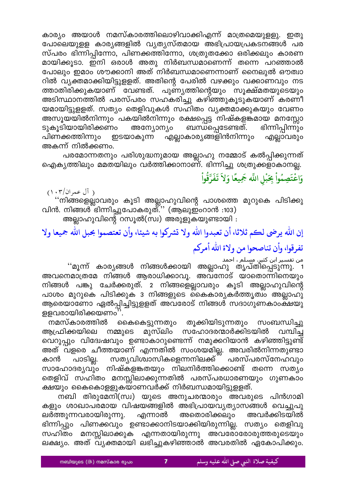കാര്യം അയാൾ നമസ്കാരത്തിലൊഴിവാക്കിഎന്ന് മാത്രമെയുളളു. ഇതു പോലെയുളള കാര്യങ്ങളിൽ വ്യത്യസ്തമായ അഭിപ്രായപ്രകടനങ്ങൾ പര സ്പരം ഭിന്നിപ്പിന്നോ, പിണക്കത്തിന്നോ, ശത്രുതക്കോ ഒരിക്കലും കാരണ മായിക്കൂടാ. ഇനി ഒരാൾ അതു നിർബന്ധമാണെന്ന് തന്നെ പറഞ്ഞാൽ പോലും ഇമാം ശൗക്കാനി അത് നിർബന്ധമാണെന്നാണ് നൈലുൽ ഔത്വാ റിൽ വ്യക്തമാക്കിയിട്ടുളളത്. അതിന്റെ പേരിൽ വഴക്കും വക്കാണവും നട ത്താതിരിക്കുകയാണ് വേണ്ടത്. പുണ്യത്തിന്റെയും സൂക്ഷ്മതയുടെയും അടിസ്ഥാനത്തിൽ പരസ്പരം സഹകരിച്ചു കഴിഞ്ഞുകൂടുകയാണ് കരണീ യമായിട്ടുളളത്. സത്യം തെളിവുകൾ സഹിതം വ്യക്തമാക്കുകയും വേണം അസൂയയിൽനിന്നും പകയിൽനിന്നും രക്ഷപ്പെട്ട നിഷ്കളങ്കമായ മനസ്സോ ടുകൂടിയായിരിക്കണം ബന്ധപ്പെടേണ്ടത്. ഭിന്നിപ്പിന്നും അന്യോന്യം എല്ലാകാര്യങ്ങളിൻനിന്നും എല്ലാവരും പിണക്കത്തിന്നും ഇടയാകുന്ന അകന്ന് നിൽക്കണം.

പരമോന്നതനും പരിശുദ്ധനുമായ അല്ലാഹു നമ്മോട് കൽപ്പിക്കുന്നത്<br>ഐക്യത്തിലും മമതയിലും വർത്തിക്കാനാണ്. ഭിന്നിച്ചു ശത്രുക്കളാകാനല്ല.

## وَاعْتَصِمُواْ بِحَبْلِ اللَّه جَمِيعًا وَلاَ تَفَرَّقُواْ

( آل عمران/۰۳)

് ''നിങ്ങളെല്ലാവരും കൂടി അല്ലാഹുവിന്റെ പാശത്തെ മുറുകെ പിടിക്കു<br>വിൻ. നിങ്ങൾ ഭിന്നിച്ചുപോകരുത്.'' (ആലുഇംറാൻ :103) അല്ലാഹുവിന്റെ റസൂൽ(സ്വ) അരുളുകയുണ്ടായി :

إن الله يرضي لكم ثلاثا، أن تعبدوا الله ولا تشركوا به شيئا، وأن تعتصموا بحبل الله جميعا ولا تفرقوا، وأن تناصحوا من ولاة الله أمركم

് മൂന്ന് കാര്യങ്ങൾ നിങ്ങൾക്കായി അല്ലാഹു തൃപ്തിപ്പെടുന്നു. 1<br>നമാശ്രഭമ നിങ്ങൾ നിങ്ങൾക്കായി അല്ലാഹു തൃപ്തിപ്പെടുന്നു. 1 അവനെമാത്രമേ നിങ്ങൾ ആരാധിക്കാവൂ. അവനോട് യാതൊന്നിനെയും നിങ്ങൾ പങ്കു ചേർക്കരുത്. 2 നിങ്ങളെല്ലാവരും കൂടി അല്ലാഹുവിന്റെ പാശം മുറുകെ പിടിക്കുക 3 നിങ്ങളുടെ കൈകാര്യകർത്തൃത്വം അല്ലാഹു ആരെയാണോ ഏൽപ്പിച്ചിട്ടുളളത് അവരോട് നിങ്ങൾ സദാഗുണകാംക്ഷയു ളളവരായിരിക്കയണം''.

കൈകെട്ടുന്നതും തൂക്കിയിടുന്നതും നമസ്കാരത്തിൽ സംബന്ധിച്ചു നമ്മുടെ മുസ്ലിം സഹോദരന്മാർക്കിടയിൽ ആഫ്രിക്കയിലെ വമ്പിച്ച വെറുപ്പും വിദേശ്ചവും ഉണ്ടാകാറുണ്ടെന്ന് നമുക്കറിയാൻ കഴിഞ്ഞിട്ടുണ്ട് അത് വളരെ ചീത്തയാണ് എന്നതിൽ സംശയമില്ല. അവരിൽനിന്നതുണ്ടാ സതൃവിശ്വാസികളെന്നനിലക്ക്<sup>്</sup> പരസ്പരസ്നേഹവും കാൻ പാടില്ല. സാഹോദര്യവും നിഷ്കളങ്കതയും നിലനിർത്തിക്കൊണ്ട് തന്നെ സത്യം തെളിവ് സഹിതം മനസ്സിലാക്കുന്നതിൽ പരസ്പരധാരണയും ഗുണകാം ക്ഷയും കൈകൊളളുകയാണവർക്ക് നിർബന്ധമായിട്ടുളളത്.

നബി തിരുമേനി(സ്വ) യുടെ അനുചരന്മാരും അവരുടെ പിൻഗാമി കളും ശാഖാപരമായ വിഷയങ്ങളിൽ അഭിപ്രായവ്യത്യാസങ്ങൾ വെച്ചുപു ലർത്തുന്നവരായിരുന്നു. എന്നാൽ അതൊരിക്കലും അവർക്കിടയിൽ ഭിന്നിപ്പും പിണക്കവും ഉണ്ടാക്കാനിടയാക്കിയിരുന്നില്ല. സത്യം തെളിവു സഹിതം മനസ്സിലാക്കുക എന്നതായിരുന്നു അവരോരോരുത്തരുടെയും ലക്ഷ്യം. അത് വ്യക്തമായി ലഭിച്ചുകഴിഞ്ഞാൽ അവരതിൽ ഏകോപിക്കും.

 $\overline{\mathbf{z}}$